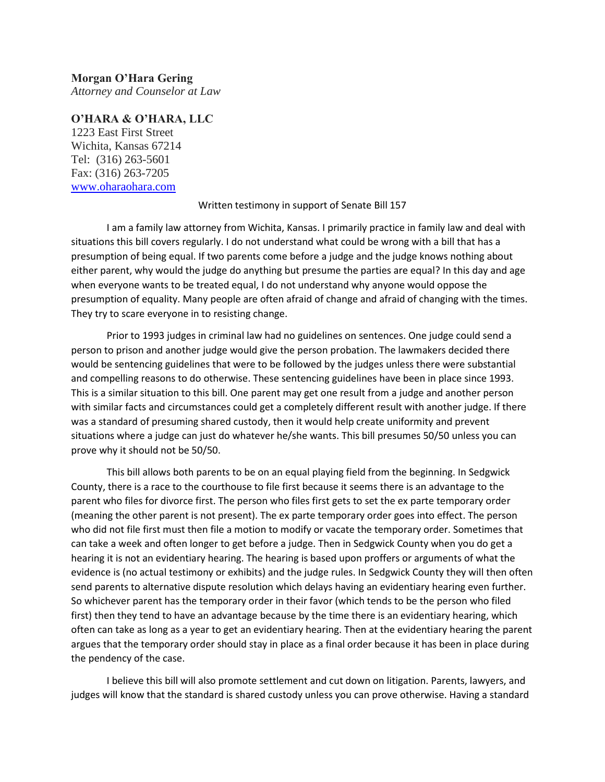## **Morgan O'Hara Gering**

*Attorney and Counselor at Law*

## **O'HARA & O'HARA, LLC**

1223 East First Street Wichita, Kansas 67214 Tel: (316) 263-5601 Fax: (316) 263-7205 [www.oharaohara.com](http://www.oharaohara.com/)

## Written testimony in support of Senate Bill 157

I am a family law attorney from Wichita, Kansas. I primarily practice in family law and deal with situations this bill covers regularly. I do not understand what could be wrong with a bill that has a presumption of being equal. If two parents come before a judge and the judge knows nothing about either parent, why would the judge do anything but presume the parties are equal? In this day and age when everyone wants to be treated equal, I do not understand why anyone would oppose the presumption of equality. Many people are often afraid of change and afraid of changing with the times. They try to scare everyone in to resisting change.

Prior to 1993 judges in criminal law had no guidelines on sentences. One judge could send a person to prison and another judge would give the person probation. The lawmakers decided there would be sentencing guidelines that were to be followed by the judges unless there were substantial and compelling reasons to do otherwise. These sentencing guidelines have been in place since 1993. This is a similar situation to this bill. One parent may get one result from a judge and another person with similar facts and circumstances could get a completely different result with another judge. If there was a standard of presuming shared custody, then it would help create uniformity and prevent situations where a judge can just do whatever he/she wants. This bill presumes 50/50 unless you can prove why it should not be 50/50.

This bill allows both parents to be on an equal playing field from the beginning. In Sedgwick County, there is a race to the courthouse to file first because it seems there is an advantage to the parent who files for divorce first. The person who files first gets to set the ex parte temporary order (meaning the other parent is not present). The ex parte temporary order goes into effect. The person who did not file first must then file a motion to modify or vacate the temporary order. Sometimes that can take a week and often longer to get before a judge. Then in Sedgwick County when you do get a hearing it is not an evidentiary hearing. The hearing is based upon proffers or arguments of what the evidence is (no actual testimony or exhibits) and the judge rules. In Sedgwick County they will then often send parents to alternative dispute resolution which delays having an evidentiary hearing even further. So whichever parent has the temporary order in their favor (which tends to be the person who filed first) then they tend to have an advantage because by the time there is an evidentiary hearing, which often can take as long as a year to get an evidentiary hearing. Then at the evidentiary hearing the parent argues that the temporary order should stay in place as a final order because it has been in place during the pendency of the case.

I believe this bill will also promote settlement and cut down on litigation. Parents, lawyers, and judges will know that the standard is shared custody unless you can prove otherwise. Having a standard